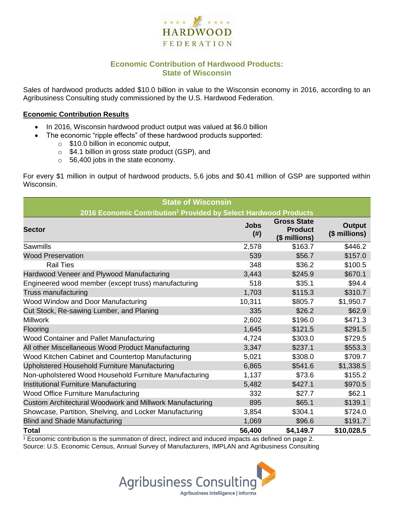

## **Economic Contribution of Hardwood Products: State of Wisconsin**

Sales of hardwood products added \$10.0 billion in value to the Wisconsin economy in 2016, according to an Agribusiness Consulting study commissioned by the U.S. Hardwood Federation.

#### **Economic Contribution Results**

- In 2016, Wisconsin hardwood product output was valued at \$6.0 billion
	- The economic "ripple effects" of these hardwood products supported:
		- o \$10.0 billion in economic output,
		- o \$4.1 billion in gross state product (GSP), and
		- o 56,400 jobs in the state economy.

For every \$1 million in output of hardwood products, 5.6 jobs and \$0.41 million of GSP are supported within Wisconsin.

| <b>State of Wisconsin</b>                                                    |                          |                                                       |                                |  |  |  |
|------------------------------------------------------------------------------|--------------------------|-------------------------------------------------------|--------------------------------|--|--|--|
| 2016 Economic Contribution <sup>1</sup> Provided by Select Hardwood Products |                          |                                                       |                                |  |  |  |
| <b>Sector</b>                                                                | <b>Jobs</b><br>$($ # $)$ | <b>Gross State</b><br><b>Product</b><br>(\$ millions) | <b>Output</b><br>(\$ millions) |  |  |  |
| Sawmills                                                                     | 2,578                    | \$163.7                                               | \$446.2                        |  |  |  |
| <b>Wood Preservation</b>                                                     | 539                      | \$56.7                                                | \$157.0                        |  |  |  |
| <b>Rail Ties</b>                                                             | 348                      | \$36.2                                                | \$100.5                        |  |  |  |
| Hardwood Veneer and Plywood Manufacturing                                    | 3,443                    | \$245.9                                               | \$670.1                        |  |  |  |
| Engineered wood member (except truss) manufacturing                          | 518                      | \$35.1                                                | \$94.4                         |  |  |  |
| Truss manufacturing                                                          | 1,703                    | \$115.3                                               | \$310.7                        |  |  |  |
| Wood Window and Door Manufacturing                                           | 10,311                   | \$805.7                                               | \$1,950.7                      |  |  |  |
| Cut Stock, Re-sawing Lumber, and Planing                                     | 335                      | \$26.2                                                | \$62.9                         |  |  |  |
| <b>Millwork</b>                                                              | 2,602                    | \$196.0                                               | \$471.3                        |  |  |  |
| Flooring                                                                     | 1,645                    | \$121.5                                               | \$291.5                        |  |  |  |
| Wood Container and Pallet Manufacturing                                      | 4,724                    | \$303.0                                               | \$729.5                        |  |  |  |
| All other Miscellaneous Wood Product Manufacturing                           | 3,347                    | \$237.1                                               | \$553.3                        |  |  |  |
| Wood Kitchen Cabinet and Countertop Manufacturing                            | 5,021                    | \$308.0                                               | \$709.7                        |  |  |  |
| Upholstered Household Furniture Manufacturing                                | 6,865                    | \$541.6                                               | \$1,338.5                      |  |  |  |
| Non-upholstered Wood Household Furniture Manufacturing                       | 1,137                    | \$73.6                                                | \$155.2                        |  |  |  |
| Institutional Furniture Manufacturing                                        | 5,482                    | \$427.1                                               | \$970.5                        |  |  |  |
| <b>Wood Office Furniture Manufacturing</b>                                   | 332                      | \$27.7                                                | \$62.1                         |  |  |  |
| Custom Architectural Woodwork and Millwork Manufacturing                     | 895                      | \$65.1                                                | \$139.1                        |  |  |  |
| Showcase, Partition, Shelving, and Locker Manufacturing                      | 3,854                    | \$304.1                                               | \$724.0                        |  |  |  |
| <b>Blind and Shade Manufacturing</b>                                         | 1,069                    | \$96.6                                                | \$191.7                        |  |  |  |
| <b>Total</b>                                                                 | 56,400                   | \$4,149.7                                             | \$10,028.5                     |  |  |  |

 $1$  Economic contribution is the summation of direct, indirect and induced impacts as defined on page 2. Source: U.S. Economic Census, Annual Survey of Manufacturers, IMPLAN and Agribusiness Consulting